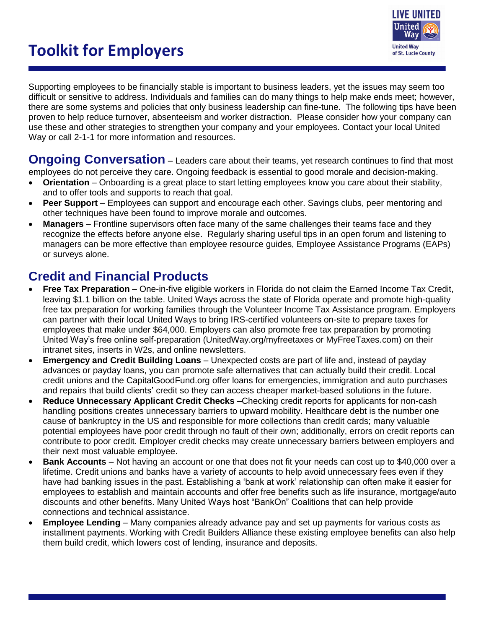# **Toolkit for Employers**



Supporting employees to be financially stable is important to business leaders, yet the issues may seem too difficult or sensitive to address. Individuals and families can do many things to help make ends meet; however, there are some systems and policies that only business leadership can fine-tune. The following tips have been proven to help reduce turnover, absenteeism and worker distraction. Please consider how your company can use these and other strategies to strengthen your company and your employees. Contact your local United Way or call 2-1-1 for more information and resources.

**Ongoing Conversation** – Leaders care about their teams, yet research continues to find that most employees do not perceive they care. Ongoing feedback is essential to good morale and decision-making.

- **Orientation** Onboarding is a great place to start letting employees know you care about their stability, and to offer tools and supports to reach that goal.
- **Peer Support** Employees can support and encourage each other. Savings clubs, peer mentoring and other techniques have been found to improve morale and outcomes.
- **Managers** Frontline supervisors often face many of the same challenges their teams face and they recognize the effects before anyone else. Regularly sharing useful tips in an open forum and listening to managers can be more effective than employee resource guides, Employee Assistance Programs (EAPs) or surveys alone.

## **Credit and Financial Products**

- **Free Tax Preparation** One-in-five eligible workers in Florida do not claim the Earned Income Tax Credit, leaving \$1.1 billion on the table. United Ways across the state of Florida operate and promote high-quality free tax preparation for working families through the Volunteer Income Tax Assistance program. Employers can partner with their local United Ways to bring IRS-certified volunteers on-site to prepare taxes for employees that make under \$64,000. Employers can also promote free tax preparation by promoting United Way's free online self-preparation (UnitedWay.org/myfreetaxes or MyFreeTaxes.com) on their intranet sites, inserts in W2s, and online newsletters.
- **Emergency and Credit Building Loans** Unexpected costs are part of life and, instead of payday advances or payday loans, you can promote safe alternatives that can actually build their credit. Local credit unions and the CapitalGoodFund.org offer loans for emergencies, immigration and auto purchases and repairs that build clients' credit so they can access cheaper market-based solutions in the future.
- **Reduce Unnecessary Applicant Credit Checks** –Checking credit reports for applicants for non-cash handling positions creates unnecessary barriers to upward mobility. Healthcare debt is the number one cause of bankruptcy in the US and responsible for more collections than credit cards; many valuable potential employees have poor credit through no fault of their own; additionally, errors on credit reports can contribute to poor credit. Employer credit checks may create unnecessary barriers between employers and their next most valuable employee.
- **Bank Accounts** Not having an account or one that does not fit your needs can cost up to \$40,000 over a lifetime. Credit unions and banks have a variety of accounts to help avoid unnecessary fees even if they have had banking issues in the past. Establishing a 'bank at work' relationship can often make it easier for employees to establish and maintain accounts and offer free benefits such as life insurance, mortgage/auto discounts and other benefits. Many United Ways host "BankOn" Coalitions that can help provide connections and technical assistance.
- **Employee Lending** Many companies already advance pay and set up payments for various costs as installment payments. Working with Credit Builders Alliance these existing employee benefits can also help them build credit, which lowers cost of lending, insurance and deposits.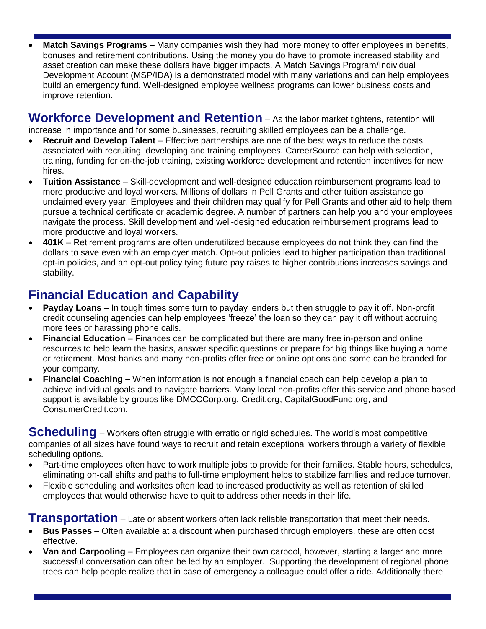**Match Savings Programs** – Many companies wish they had more money to offer employees in benefits, bonuses and retirement contributions. Using the money you do have to promote increased stability and asset creation can make these dollars have bigger impacts. A Match Savings Program/Individual Development Account (MSP/IDA) is a demonstrated model with many variations and can help employees build an emergency fund. Well-designed employee wellness programs can lower business costs and improve retention.

**Workforce Development and Retention** – As the labor market tightens, retention will increase in importance and for some businesses, recruiting skilled employees can be a challenge.

- **Recruit and Develop Talent** Effective partnerships are one of the best ways to reduce the costs associated with recruiting, developing and training employees. CareerSource can help with selection, training, funding for on-the-job training, existing workforce development and retention incentives for new hires.
- **Tuition Assistance** Skill-development and well-designed education reimbursement programs lead to more productive and loyal workers. Millions of dollars in Pell Grants and other tuition assistance go unclaimed every year. Employees and their children may qualify for Pell Grants and other aid to help them pursue a technical certificate or academic degree. A number of partners can help you and your employees navigate the process. Skill development and well-designed education reimbursement programs lead to more productive and loyal workers.
- **401K** Retirement programs are often underutilized because employees do not think they can find the dollars to save even with an employer match. Opt-out policies lead to higher participation than traditional opt-in policies, and an opt-out policy tying future pay raises to higher contributions increases savings and stability.

## **Financial Education and Capability**

- **Payday Loans** In tough times some turn to payday lenders but then struggle to pay it off. Non-profit credit counseling agencies can help employees 'freeze' the loan so they can pay it off without accruing more fees or harassing phone calls.
- **Financial Education** Finances can be complicated but there are many free in-person and online resources to help learn the basics, answer specific questions or prepare for big things like buying a home or retirement. Most banks and many non-profits offer free or online options and some can be branded for your company.
- **Financial Coaching** When information is not enough a financial coach can help develop a plan to achieve individual goals and to navigate barriers. Many local non-profits offer this service and phone based support is available by groups like DMCCCorp.org, Credit.org, CapitalGoodFund.org, and ConsumerCredit.com.

**Scheduling** – Workers often struggle with erratic or rigid schedules. The world's most competitive companies of all sizes have found ways to recruit and retain exceptional workers through a variety of flexible scheduling options.

- Part-time employees often have to work multiple jobs to provide for their families. Stable hours, schedules, eliminating on-call shifts and paths to full-time employment helps to stabilize families and reduce turnover.
- Flexible scheduling and worksites often lead to increased productivity as well as retention of skilled employees that would otherwise have to quit to address other needs in their life.

**Transportation** – Late or absent workers often lack reliable transportation that meet their needs.

- **Bus Passes** Often available at a discount when purchased through employers, these are often cost effective.
- **Van and Carpooling** Employees can organize their own carpool, however, starting a larger and more successful conversation can often be led by an employer. Supporting the development of regional phone trees can help people realize that in case of emergency a colleague could offer a ride. Additionally there